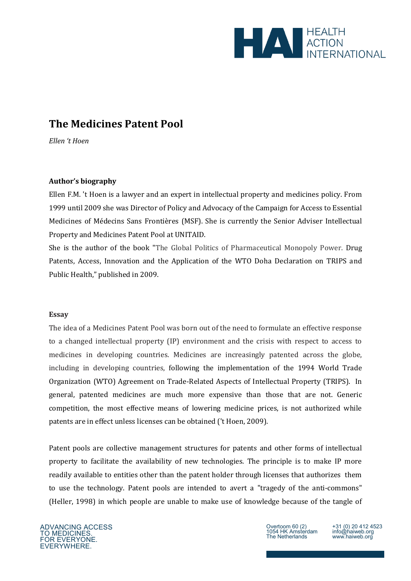

# **The Medicines Patent Pool**

*Ellen 't Hoen* 

## **Author's biography**

Ellen F.M. 't Hoen is a lawyer and an expert in intellectual property and medicines policy. From 1999 until 2009 she was Director of Policy and Advocacy of the Campaign for Access to Essential Medicines of Médecins Sans Frontières (MSF). She is currently the Senior Adviser Intellectual Property and Medicines Patent Pool at UNITAID.

She is the author of the book "The Global Politics of Pharmaceutical Monopoly Power. Drug Patents, Access, Innovation and the Application of the WTO Doha Declaration on TRIPS and Public Health," published in 2009.

#### **Essay**

The idea of a Medicines Patent Pool was born out of the need to formulate an effective response to a changed intellectual property (IP) environment and the crisis with respect to access to medicines in developing countries. Medicines are increasingly patented across the globe, including in developing countries, following the implementation of the 1994 World Trade Organization (WTO) Agreement on Trade-Related Aspects of Intellectual Property (TRIPS). In general, patented medicines are much more expensive than those that are not. Generic competition, the most effective means of lowering medicine prices, is not authorized while patents are in effect unless licenses can be obtained ('t Hoen, 2009).

Patent pools are collective management structures for patents and other forms of intellectual property to facilitate the availability of new technologies. The principle is to make IP more readily available to entities other than the patent holder through licenses that authorizes them to use the technology. Patent pools are intended to avert a "tragedy of the anti-commons" (Heller, 1998) in which people are unable to make use of knowledge because of the tangle of

+31 (0) 20 412 4523 info@haiweb.org www.haiweb.org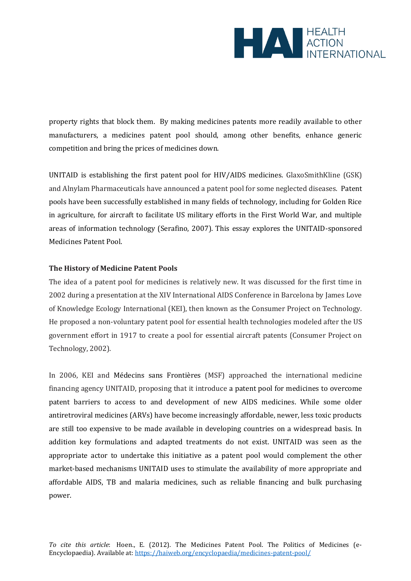

property rights that block them. By making medicines patents more readily available to other manufacturers, a medicines patent pool should, among other benefits, enhance generic competition and bring the prices of medicines down.

UNITAID is establishing the first patent pool for HIV/AIDS medicines. GlaxoSmithKline (GSK) and Alnylam Pharmaceuticals have announced a patent pool for some neglected diseases. Patent pools have been successfully established in many fields of technology, including for Golden Rice in agriculture, for aircraft to facilitate US military efforts in the First World War, and multiple areas of information technology (Serafino, 2007). This essay explores the UNITAID-sponsored Medicines Patent Pool.

### **The History of Medicine Patent Pools**

The idea of a patent pool for medicines is relatively new. It was discussed for the first time in 2002 during a presentation at the XIV International AIDS Conference in Barcelona by James Love of Knowledge Ecology International (KEI), then known as the Consumer Project on Technology. He proposed a non-voluntary patent pool for essential health technologies modeled after the US government effort in 1917 to create a pool for essential aircraft patents (Consumer Project on Technology, 2002).

In 2006, KEI and Médecins sans Frontières (MSF) approached the international medicine financing agency UNITAID, proposing that it introduce a patent pool for medicines to overcome patent barriers to access to and development of new AIDS medicines. While some older antiretroviral medicines (ARVs) have become increasingly affordable, newer, less toxic products are still too expensive to be made available in developing countries on a widespread basis. In addition key formulations and adapted treatments do not exist. UNITAID was seen as the appropriate actor to undertake this initiative as a patent pool would complement the other market-based mechanisms UNITAID uses to stimulate the availability of more appropriate and affordable AIDS, TB and malaria medicines, such as reliable financing and bulk purchasing power.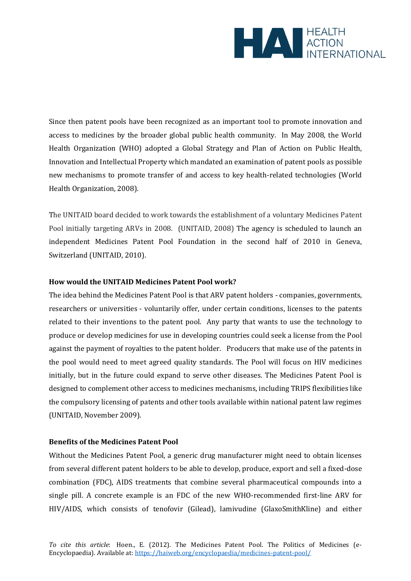

Since then patent pools have been recognized as an important tool to promote innovation and access to medicines by the broader global public health community. In May 2008, the World Health Organization (WHO) adopted a Global Strategy and Plan of Action on Public Health, Innovation and Intellectual Property which mandated an examination of patent pools as possible new mechanisms to promote transfer of and access to key health-related technologies (World Health Organization, 2008).

The UNITAID board decided to work towards the establishment of a voluntary Medicines Patent Pool initially targeting ARVs in 2008. (UNITAID, 2008) The agency is scheduled to launch an independent Medicines Patent Pool Foundation in the second half of 2010 in Geneva, Switzerland (UNITAID, 2010).

#### **How would the UNITAID Medicines Patent Pool work?**

The idea behind the Medicines Patent Pool is that ARV patent holders - companies, governments, researchers or universities - voluntarily offer, under certain conditions, licenses to the patents related to their inventions to the patent pool. Any party that wants to use the technology to produce or develop medicines for use in developing countries could seek a license from the Pool against the payment of royalties to the patent holder. Producers that make use of the patents in the pool would need to meet agreed quality standards. The Pool will focus on HIV medicines initially, but in the future could expand to serve other diseases. The Medicines Patent Pool is designed to complement other access to medicines mechanisms, including TRIPS flexibilities like the compulsory licensing of patents and other tools available within national patent law regimes (UNITAID, November 2009).

#### **Benefits of the Medicines Patent Pool**

Without the Medicines Patent Pool, a generic drug manufacturer might need to obtain licenses from several different patent holders to be able to develop, produce, export and sell a fixed-dose combination (FDC), AIDS treatments that combine several pharmaceutical compounds into a single pill. A concrete example is an FDC of the new WHO-recommended first-line ARV for HIV/AIDS, which consists of tenofovir (Gilead), lamivudine (GlaxoSmithKline) and either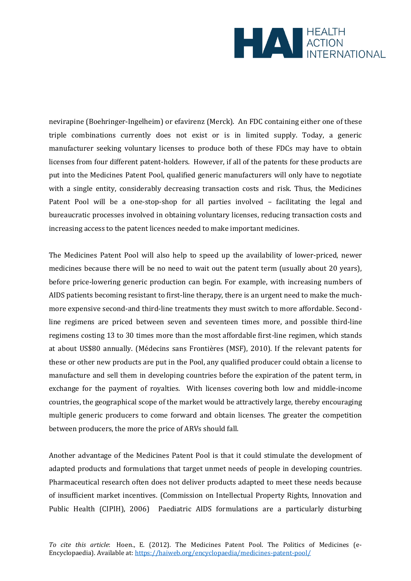

nevirapine (Boehringer-Ingelheim) or efavirenz (Merck). An FDC containing either one of these triple combinations currently does not exist or is in limited supply. Today, a generic manufacturer seeking voluntary licenses to produce both of these FDCs may have to obtain licenses from four different patent-holders. However, if all of the patents for these products are put into the Medicines Patent Pool, qualified generic manufacturers will only have to negotiate with a single entity, considerably decreasing transaction costs and risk. Thus, the Medicines Patent Pool will be a one-stop-shop for all parties involved – facilitating the legal and bureaucratic processes involved in obtaining voluntary licenses, reducing transaction costs and increasing access to the patent licences needed to make important medicines.

The Medicines Patent Pool will also help to speed up the availability of lower-priced, newer medicines because there will be no need to wait out the patent term (usually about 20 years), before price-lowering generic production can begin. For example, with increasing numbers of AIDS patients becoming resistant to first-line therapy, there is an urgent need to make the muchmore expensive second-and third-line treatments they must switch to more affordable. Secondline regimens are priced between seven and seventeen times more, and possible third-line regimens costing 13 to 30 times more than the most affordable first-line regimen, which stands at about US\$80 annually. (Médecins sans Frontières (MSF), 2010). If the relevant patents for these or other new products are put in the Pool, any qualified producer could obtain a license to manufacture and sell them in developing countries before the expiration of the patent term, in exchange for the payment of royalties. With licenses covering both low and middle-income countries, the geographical scope of the market would be attractively large, thereby encouraging multiple generic producers to come forward and obtain licenses. The greater the competition between producers, the more the price of ARVs should fall.

Another advantage of the Medicines Patent Pool is that it could stimulate the development of adapted products and formulations that target unmet needs of people in developing countries. Pharmaceutical research often does not deliver products adapted to meet these needs because of insufficient market incentives. (Commission on Intellectual Property Rights, Innovation and Public Health (CIPIH), 2006) Paediatric AIDS formulations are a particularly disturbing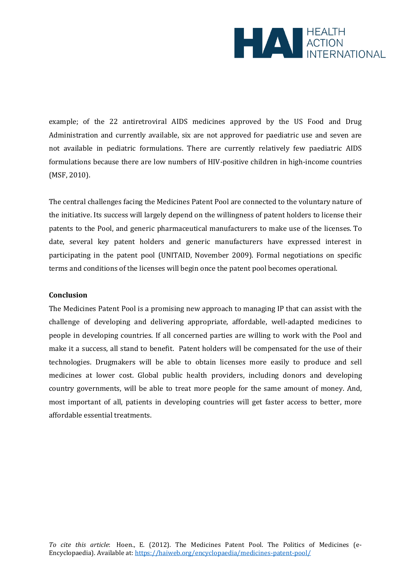

example; of the 22 antiretroviral AIDS medicines approved by the US Food and Drug Administration and currently available, six are not approved for paediatric use and seven are not available in pediatric formulations. There are currently relatively few paediatric AIDS formulations because there are low numbers of HIV-positive children in high-income countries (MSF, 2010).

The central challenges facing the Medicines Patent Pool are connected to the voluntary nature of the initiative. Its success will largely depend on the willingness of patent holders to license their patents to the Pool, and generic pharmaceutical manufacturers to make use of the licenses. To date, several key patent holders and generic manufacturers have expressed interest in participating in the patent pool (UNITAID, November 2009). Formal negotiations on specific terms and conditions of the licenses will begin once the patent pool becomes operational.

#### **Conclusion**

The Medicines Patent Pool is a promising new approach to managing IP that can assist with the challenge of developing and delivering appropriate, affordable, well-adapted medicines to people in developing countries. If all concerned parties are willing to work with the Pool and make it a success, all stand to benefit. Patent holders will be compensated for the use of their technologies. Drugmakers will be able to obtain licenses more easily to produce and sell medicines at lower cost. Global public health providers, including donors and developing country governments, will be able to treat more people for the same amount of money. And, most important of all, patients in developing countries will get faster access to better, more affordable essential treatments.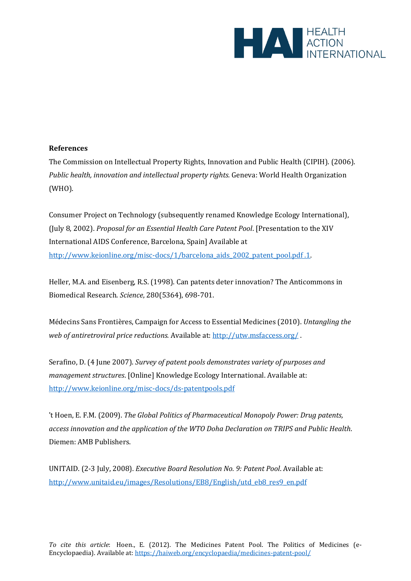

## **References**

The Commission on Intellectual Property Rights, Innovation and Public Health (CIPIH). (2006). *Public health, innovation and intellectual property rights.* Geneva: World Health Organization (WHO).

Consumer Project on Technology (subsequently renamed Knowledge Ecology International), (July 8, 2002). *Proposal for an Essential Health Care Patent Pool*. [Presentation to the XIV International AIDS Conference, Barcelona, Spain] Available at [http://www.keionline.org/misc-docs/1/barcelona\\_aids\\_2002\\_patent\\_pool.pdf .1.](http://www.keionline.org/misc-docs/1/barcelona_aids_2002_patent_pool.pdf%20.1)

Heller, M.A. and Eisenberg, R.S. (1998). Can patents deter innovation? The Anticommons in Biomedical Research. *Science*, 280(5364), 698-701.

Médecins Sans Frontières, Campaign for Access to Essential Medicines (2010). *Untangling the web of antiretroviral price reductions.* Available at[: http://utw.msfaccess.org/](http://utw.msfaccess.org/) .

Serafino, D. (4 June 2007). *Survey of patent pools demonstrates variety of purposes and management structures*. [Online] Knowledge Ecology International. Available at: <http://www.keionline.org/misc-docs/ds-patentpools.pdf>

't Hoen, E. F.M. (2009). *The Global Politics of Pharmaceutical Monopoly Power: Drug patents, access innovation and the application of the WTO Doha Declaration on TRIPS and Public Health*. Diemen: AMB Publishers.

UNITAID. (2-3 July, 2008). *Executive Board Resolution No. 9: Patent Pool*. Available at: [http://www.unitaid.eu/images/Resolutions/EB8/English/utd\\_eb8\\_res9\\_en.pdf](http://www.unitaid.eu/images/Resolutions/EB8/English/utd_eb8_res9_en.pdf)